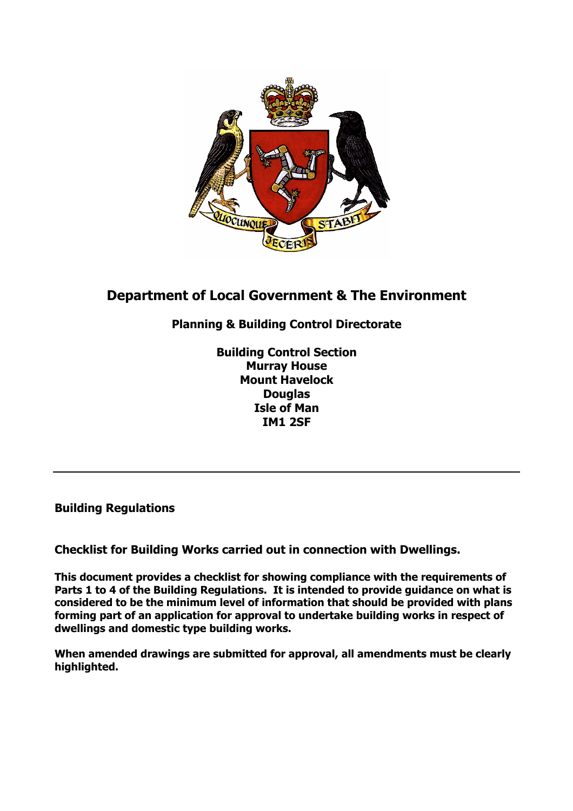

# **Department of Local Government & The Environment**

## **Planning & Building Control Directorate**

**Building Control Section Murray House Mount Havelock Douglas Isle of Man IM1 2SF** 

**Building Regulations** 

**Checklist for Building Works carried out in connection with Dwellings.** 

**This document provides a checklist for showing compliance with the requirements of Parts 1 to 4 of the Building Regulations. It is intended to provide guidance on what is considered to be the minimum level of information that should be provided with plans forming part of an application for approval to undertake building works in respect of dwellings and domestic type building works.** 

**When amended drawings are submitted for approval, all amendments must be clearly highlighted.**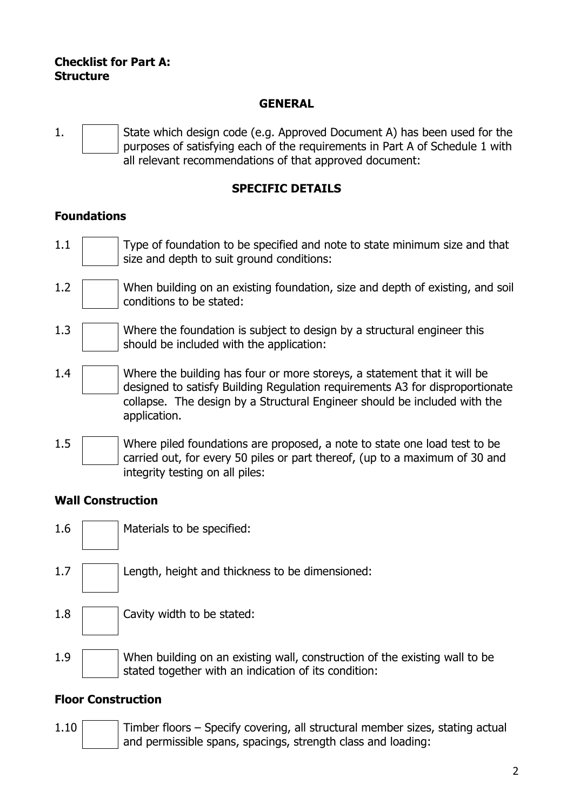#### **Checklist for Part A: Structure**

#### **GENERAL**

1. State which design code (e.g. Approved Document A) has been used for the purposes of satisfying each of the requirements in Part A of Schedule 1 with all relevant recommendations of that approved document:

### **SPECIFIC DETAILS**

### **Foundations**

- 1.1 Type of foundation to be specified and note to state minimum size and that size and depth to suit ground conditions:
- 1.2 When building on an existing foundation, size and depth of existing, and soil conditions to be stated:
- 1.3 Where the foundation is subject to design by a structural engineer this should be included with the application:
- 1.4 Where the building has four or more storeys, a statement that it will be designed to satisfy Building Regulation requirements A3 for disproportionate collapse. The design by a Structural Engineer should be included with the application.
- 1.5 Where piled foundations are proposed, a note to state one load test to be carried out, for every 50 piles or part thereof, (up to a maximum of 30 and integrity testing on all piles:

#### **Wall Construction**

- 1.6 | | | Materials to be specified:
- 1.7 | Length, height and thickness to be dimensioned:
- $1.8$  | Cavity width to be stated:
- 1.9 When building on an existing wall, construction of the existing wall to be stated together with an indication of its condition:

### **Floor Construction**

1.10 Timber floors – Specify covering, all structural member sizes, stating actual and permissible spans, spacings, strength class and loading: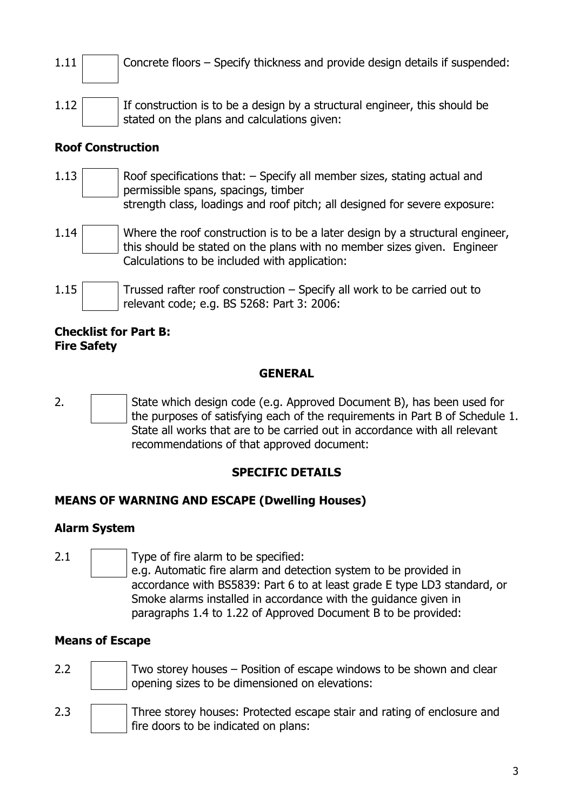- 1.11 Concrete floors Specify thickness and provide design details if suspended:
- $1.12$  If construction is to be a design by a structural engineer, this should be stated on the plans and calculations given:

### **Roof Construction**

- $1.13$  Roof specifications that:  $-$  Specify all member sizes, stating actual and permissible spans, spacings, timber strength class, loadings and roof pitch; all designed for severe exposure:
- 1.14 Where the roof construction is to be a later design by a structural engineer, this should be stated on the plans with no member sizes given. Engineer Calculations to be included with application:
- $1.15$  Trussed rafter roof construction Specify all work to be carried out to relevant code; e.g. BS 5268: Part 3: 2006:

#### **Checklist for Part B: Fire Safety**

### **GENERAL**

2. State which design code (e.g. Approved Document B), has been used for the purposes of satisfying each of the requirements in Part B of Schedule 1. State all works that are to be carried out in accordance with all relevant recommendations of that approved document:

### **SPECIFIC DETAILS**

### **MEANS OF WARNING AND ESCAPE (Dwelling Houses)**

### **Alarm System**

2.1 **Type of fire alarm to be specified:** e.g. Automatic fire alarm and detection system to be provided in accordance with BS5839: Part 6 to at least grade E type LD3 standard, or Smoke alarms installed in accordance with the guidance given in paragraphs 1.4 to 1.22 of Approved Document B to be provided:

### **Means of Escape**

- 2.2  $\parallel$  Two storey houses Position of escape windows to be shown and clear opening sizes to be dimensioned on elevations:
- 2.3 Three storey houses: Protected escape stair and rating of enclosure and fire doors to be indicated on plans: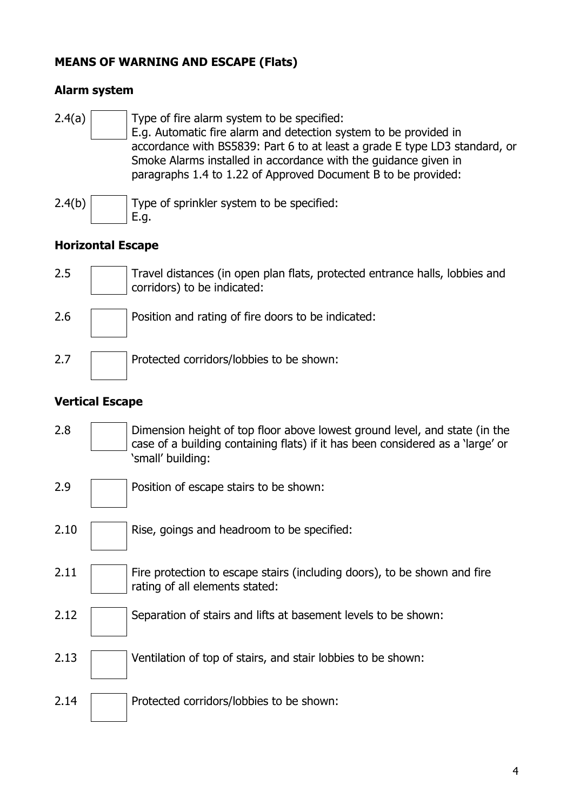### **MEANS OF WARNING AND ESCAPE (Flats)**

#### **Alarm system**

| 2.4(a) | Type of fire alarm system to be specified:<br>E.g. Automatic fire alarm and detection system to be provided in<br>accordance with BS5839: Part 6 to at least a grade E type LD3 standard, or<br>Smoke Alarms installed in accordance with the guidance given in<br>paragraphs 1.4 to 1.22 of Approved Document B to be provided: |
|--------|----------------------------------------------------------------------------------------------------------------------------------------------------------------------------------------------------------------------------------------------------------------------------------------------------------------------------------|
| 2.4(b) | Type of sprinkler system to be specified:<br>E.g.                                                                                                                                                                                                                                                                                |

### **Horizontal Escape**

- 2.5 Travel distances (in open plan flats, protected entrance halls, lobbies and corridors) to be indicated:
- 2.6 **Position and rating of fire doors to be indicated:**

2.7 **Protected corridors/lobbies to be shown:** 

### **Vertical Escape**

- 2.8 **Dimension height of top floor above lowest ground level, and state (in the** case of a building containing flats) if it has been considered as a 'large' or 'small' building:
- 2.9 **Position of escape stairs to be shown:**
- 2.10 | Rise, goings and headroom to be specified:
- $2.11$  Fire protection to escape stairs (including doors), to be shown and fire rating of all elements stated:
- 2.12 | Separation of stairs and lifts at basement levels to be shown:
- 2.13 Ventilation of top of stairs, and stair lobbies to be shown:
- 2.14 **Protected corridors/lobbies to be shown:**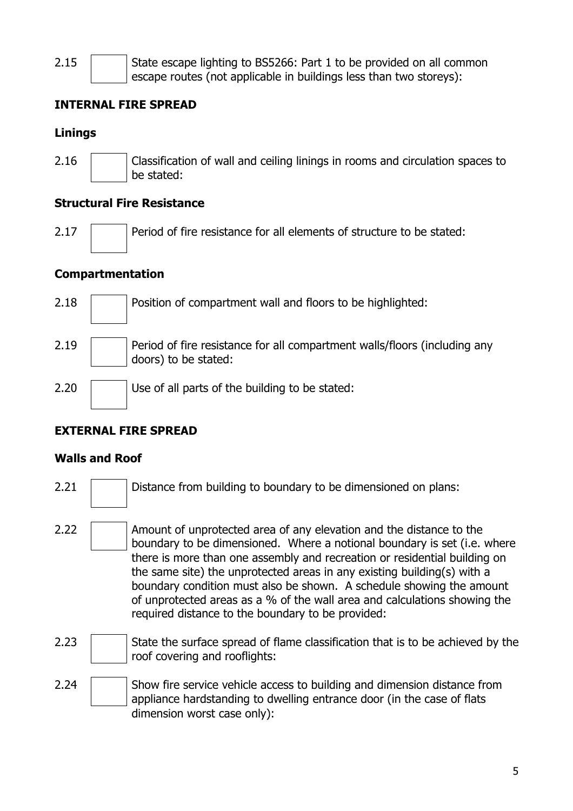2.15  $\parallel$  State escape lighting to BS5266: Part 1 to be provided on all common escape routes (not applicable in buildings less than two storeys):

### **INTERNAL FIRE SPREAD**

### **Linings**

2.16 Classification of wall and ceiling linings in rooms and circulation spaces to be stated:

### **Structural Fire Resistance**

2.17 **Period of fire resistance for all elements of structure to be stated:** 

### **Compartmentation**

2.18 **Position of compartment wall and floors to be highlighted:**  $2.19$  Period of fire resistance for all compartment walls/floors (including any doors) to be stated: 2.20 Use of all parts of the building to be stated:

### **EXTERNAL FIRE SPREAD**

### **Walls and Roof**

- 2.21 **Distance from building to boundary to be dimensioned on plans:**
- 2.22  $\parallel$  Amount of unprotected area of any elevation and the distance to the boundary to be dimensioned. Where a notional boundary is set (i.e. where there is more than one assembly and recreation or residential building on the same site) the unprotected areas in any existing building(s) with a boundary condition must also be shown. A schedule showing the amount of unprotected areas as a % of the wall area and calculations showing the required distance to the boundary to be provided:
- 2.23  $\vert$  State the surface spread of flame classification that is to be achieved by the roof covering and rooflights:
- 2.24 Show fire service vehicle access to building and dimension distance from appliance hardstanding to dwelling entrance door (in the case of flats dimension worst case only):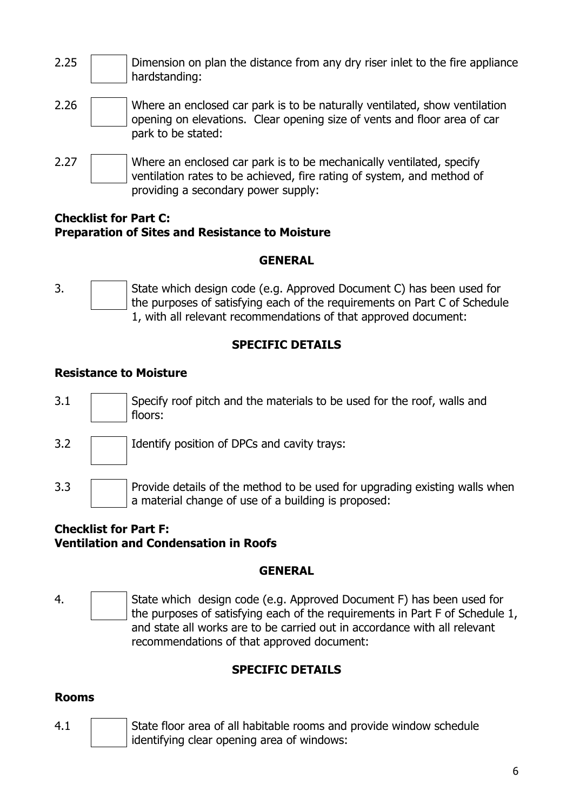- 2.25  $\vert$  Dimension on plan the distance from any dry riser inlet to the fire appliance hardstanding:
- 2.26 Where an enclosed car park is to be naturally ventilated, show ventilation opening on elevations. Clear opening size of vents and floor area of car park to be stated:
- 2.27 Where an enclosed car park is to be mechanically ventilated, specify ventilation rates to be achieved, fire rating of system, and method of providing a secondary power supply:

#### **Checklist for Part C: Preparation of Sites and Resistance to Moisture**

### **GENERAL**

3. State which design code (e.g. Approved Document C) has been used for the purposes of satisfying each of the requirements on Part C of Schedule 1, with all relevant recommendations of that approved document:

## **SPECIFIC DETAILS**

### **Resistance to Moisture**

- 3.1 Specify roof pitch and the materials to be used for the roof, walls and floors:
- 3.2 | Identify position of DPCs and cavity trays:
- 3.3 **Provide details of the method to be used for upgrading existing walls when** a material change of use of a building is proposed:

### **Checklist for Part F: Ventilation and Condensation in Roofs**

### **GENERAL**

4. **State which design code (e.g. Approved Document F) has been used for** the purposes of satisfying each of the requirements in Part F of Schedule 1, and state all works are to be carried out in accordance with all relevant recommendations of that approved document:

## **SPECIFIC DETAILS**

### **Rooms**

4.1 State floor area of all habitable rooms and provide window schedule identifying clear opening area of windows: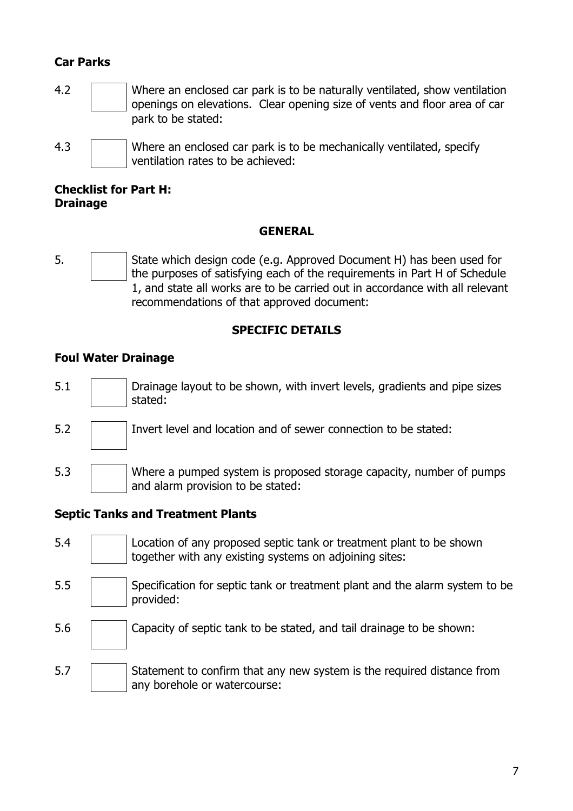### **Car Parks**

- 4.2 Where an enclosed car park is to be naturally ventilated, show ventilation openings on elevations. Clear opening size of vents and floor area of car park to be stated:
- 4.3 Where an enclosed car park is to be mechanically ventilated, specify ventilation rates to be achieved:

#### **Checklist for Part H: Drainage**

#### **GENERAL**

5. **Subset State which design code (e.g. Approved Document H) has been used for** the purposes of satisfying each of the requirements in Part H of Schedule 1, and state all works are to be carried out in accordance with all relevant recommendations of that approved document:

### **SPECIFIC DETAILS**

### **Foul Water Drainage**

- 5.1 **Drainage layout to be shown, with invert levels, gradients and pipe sizes** stated:
- 5.2 Invert level and location and of sewer connection to be stated:
- 5.3 Where a pumped system is proposed storage capacity, number of pumps and alarm provision to be stated:

#### **Septic Tanks and Treatment Plants**

- 5.4 Location of any proposed septic tank or treatment plant to be shown together with any existing systems on adjoining sites:
- 5.5 Specification for septic tank or treatment plant and the alarm system to be provided:
- 5.6 Capacity of septic tank to be stated, and tail drainage to be shown:
- $\overline{5.7}$  Statement to confirm that any new system is the required distance from any borehole or watercourse: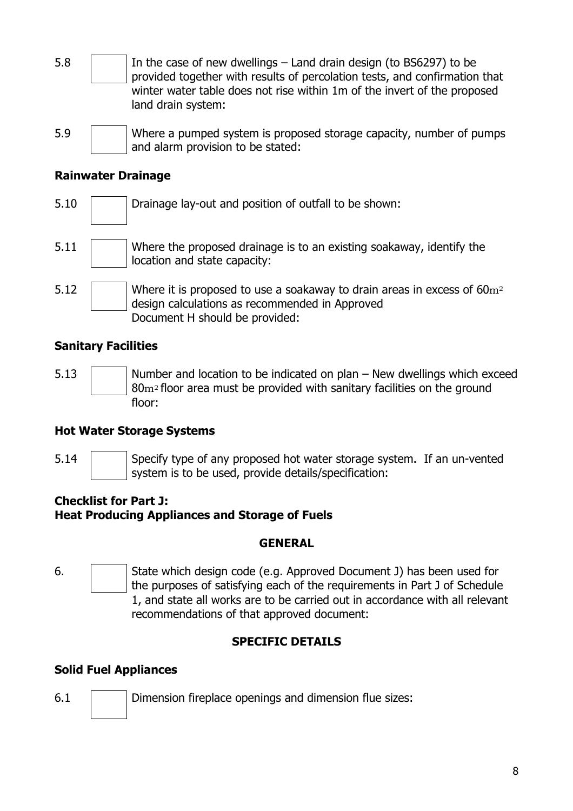- 5.8  $\parallel$  In the case of new dwellings Land drain design (to BS6297) to be provided together with results of percolation tests, and confirmation that winter water table does not rise within 1m of the invert of the proposed land drain system:
- 5.9 Where a pumped system is proposed storage capacity, number of pumps and alarm provision to be stated:

### **Rainwater Drainage**

5.10 **Drainage lay-out and position of outfall to be shown:** 5.11 Where the proposed drainage is to an existing soakaway, identify the location and state capacity: 5.12 Where it is proposed to use a soakaway to drain areas in excess of  $60m^2$ design calculations as recommended in Approved Document H should be provided:

### **Sanitary Facilities**

 $5.13$   $\parallel$  Number and location to be indicated on plan – New dwellings which exceed 80m2 floor area must be provided with sanitary facilities on the ground floor:

### **Hot Water Storage Systems**

- 
- 5.14 Specify type of any proposed hot water storage system. If an un-vented system is to be used, provide details/specification:

### **Checklist for Part J: Heat Producing Appliances and Storage of Fuels**

#### **GENERAL**

6. State which design code (e.g. Approved Document J) has been used for the purposes of satisfying each of the requirements in Part J of Schedule 1, and state all works are to be carried out in accordance with all relevant recommendations of that approved document:

### **SPECIFIC DETAILS**

### **Solid Fuel Appliances**

6.1 Dimension fireplace openings and dimension flue sizes: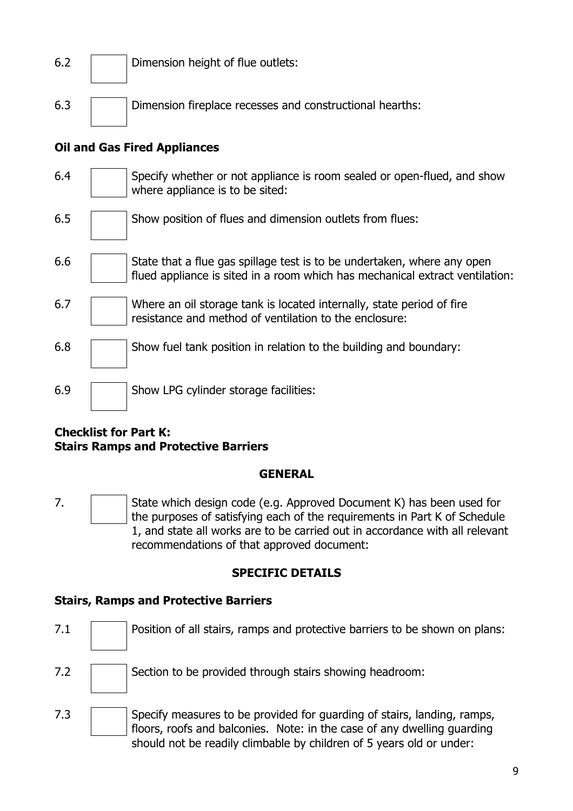| 6.2 | Dimension height of flue outlets: |
|-----|-----------------------------------|
|     |                                   |

6.3 Dimension fireplace recesses and constructional hearths:

### **Oil and Gas Fired Appliances**

- 6.4 Specify whether or not appliance is room sealed or open-flued, and show where appliance is to be sited:
- 6.5 Show position of flues and dimension outlets from flues:
- $\begin{array}{c|c|c|c|c} \hline 6.6 & & \end{array}$  State that a flue gas spillage test is to be undertaken, where any open flued appliance is sited in a room which has mechanical extract ventilation:
- 6.7 Where an oil storage tank is located internally, state period of fire resistance and method of ventilation to the enclosure:
- $6.8$  | Show fuel tank position in relation to the building and boundary:
- 6.9 | Show LPG cylinder storage facilities:

#### **Checklist for Part K: Stairs Ramps and Protective Barriers**

#### **GENERAL**

7. **State which design code (e.g. Approved Document K) has been used for** the purposes of satisfying each of the requirements in Part K of Schedule 1, and state all works are to be carried out in accordance with all relevant recommendations of that approved document:

#### **SPECIFIC DETAILS**

#### **Stairs, Ramps and Protective Barriers**

7.1 **Position of all stairs, ramps and protective barriers to be shown on plans:** 7.2 **Section to be provided through stairs showing headroom:** 7.3 Specify measures to be provided for guarding of stairs, landing, ramps, floors, roofs and balconies. Note: in the case of any dwelling guarding should not be readily climbable by children of 5 years old or under: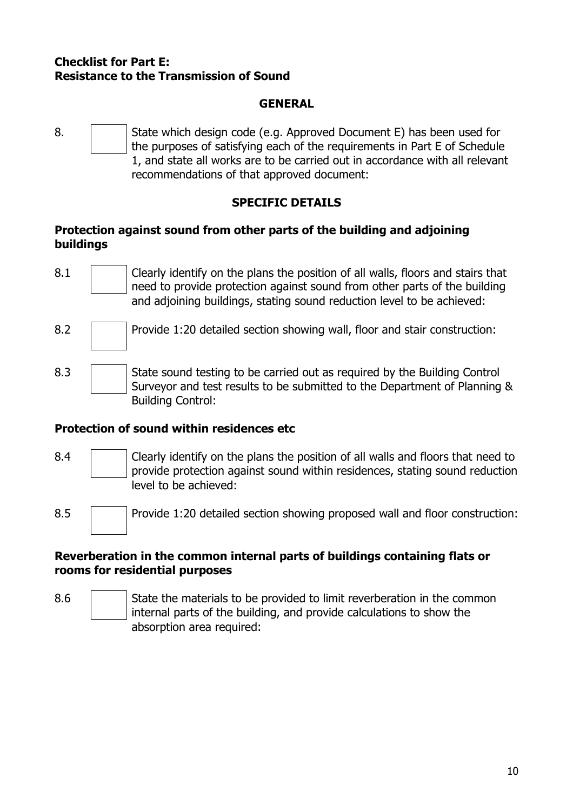#### **Checklist for Part E: Resistance to the Transmission of Sound**

#### **GENERAL**

8. State which design code (e.g. Approved Document E) has been used for the purposes of satisfying each of the requirements in Part E of Schedule 1, and state all works are to be carried out in accordance with all relevant recommendations of that approved document:

## **SPECIFIC DETAILS**

#### **Protection against sound from other parts of the building and adjoining buildings**

- 8.1 Clearly identify on the plans the position of all walls, floors and stairs that need to provide protection against sound from other parts of the building and adjoining buildings, stating sound reduction level to be achieved:
- 8.2 **Provide 1:20 detailed section showing wall, floor and stair construction:**
- 8.3 State sound testing to be carried out as required by the Building Control Surveyor and test results to be submitted to the Department of Planning & Building Control:

### **Protection of sound within residences etc**

- 8.4 Clearly identify on the plans the position of all walls and floors that need to provide protection against sound within residences, stating sound reduction level to be achieved:
- 8.5 **Provide 1:20 detailed section showing proposed wall and floor construction:**

#### **Reverberation in the common internal parts of buildings containing flats or rooms for residential purposes**

8.6 State the materials to be provided to limit reverberation in the common internal parts of the building, and provide calculations to show the absorption area required: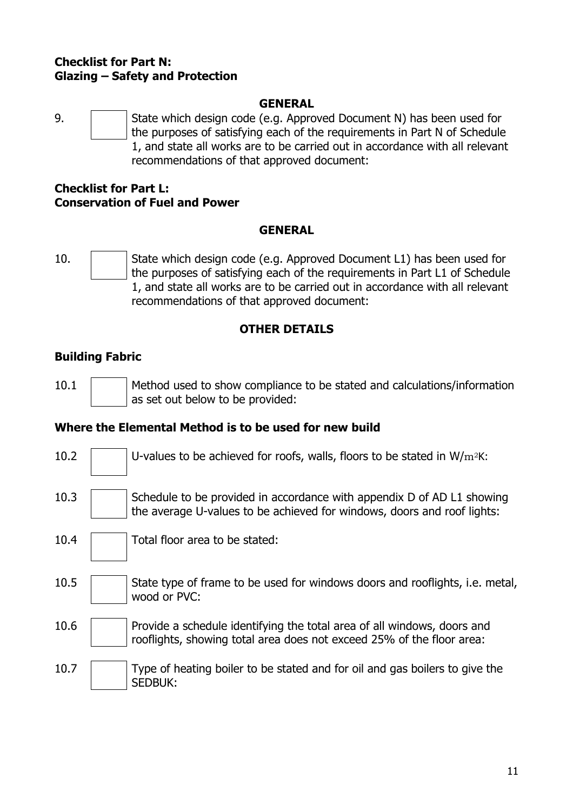#### **Checklist for Part N: Glazing – Safety and Protection**

#### **GENERAL**

9. State which design code (e.g. Approved Document N) has been used for the purposes of satisfying each of the requirements in Part N of Schedule 1, and state all works are to be carried out in accordance with all relevant recommendations of that approved document:

#### **Checklist for Part L: Conservation of Fuel and Power**

#### **GENERAL**

10. State which design code (e.g. Approved Document L1) has been used for the purposes of satisfying each of the requirements in Part L1 of Schedule 1, and state all works are to be carried out in accordance with all relevant recommendations of that approved document:

### **OTHER DETAILS**

## **Building Fabric**

10.1 Method used to show compliance to be stated and calculations/information as set out below to be provided:

### **Where the Elemental Method is to be used for new build**

- 10.2  $|$  U-values to be achieved for roofs, walls, floors to be stated in W/m<sup>2</sup>K:
- 10.3  $\vert$  Schedule to be provided in accordance with appendix D of AD L1 showing the average U-values to be achieved for windows, doors and roof lights:
- 10.4 | Total floor area to be stated:
- $10.5$  State type of frame to be used for windows doors and rooflights, i.e. metal, wood or PVC:
- 10.6 **Provide a schedule identifying the total area of all windows, doors and** rooflights, showing total area does not exceed 25% of the floor area:
- 10.7 Type of heating boiler to be stated and for oil and gas boilers to give the SEDBUK: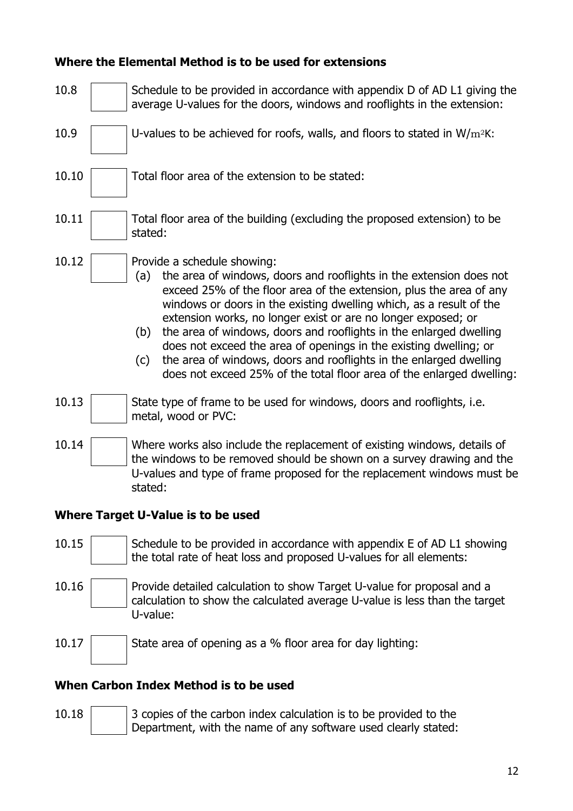### **Where the Elemental Method is to be used for extensions**

| 10.8                               |                   | Schedule to be provided in accordance with appendix D of AD L1 giving the<br>average U-values for the doors, windows and rooflights in the extension:                                                                                                                                                                                                                                                                                                                                                                                                                                                       |  |  |
|------------------------------------|-------------------|-------------------------------------------------------------------------------------------------------------------------------------------------------------------------------------------------------------------------------------------------------------------------------------------------------------------------------------------------------------------------------------------------------------------------------------------------------------------------------------------------------------------------------------------------------------------------------------------------------------|--|--|
| 10.9                               |                   | U-values to be achieved for roofs, walls, and floors to stated in $W/m^2K$ :                                                                                                                                                                                                                                                                                                                                                                                                                                                                                                                                |  |  |
| 10.10                              |                   | Total floor area of the extension to be stated:                                                                                                                                                                                                                                                                                                                                                                                                                                                                                                                                                             |  |  |
| 10.11                              | stated:           | Total floor area of the building (excluding the proposed extension) to be                                                                                                                                                                                                                                                                                                                                                                                                                                                                                                                                   |  |  |
| 10.12                              | (a)<br>(b)<br>(c) | Provide a schedule showing:<br>the area of windows, doors and rooflights in the extension does not<br>exceed 25% of the floor area of the extension, plus the area of any<br>windows or doors in the existing dwelling which, as a result of the<br>extension works, no longer exist or are no longer exposed; or<br>the area of windows, doors and rooflights in the enlarged dwelling<br>does not exceed the area of openings in the existing dwelling; or<br>the area of windows, doors and rooflights in the enlarged dwelling<br>does not exceed 25% of the total floor area of the enlarged dwelling: |  |  |
| 10.13                              |                   | State type of frame to be used for windows, doors and rooflights, i.e.<br>metal, wood or PVC:                                                                                                                                                                                                                                                                                                                                                                                                                                                                                                               |  |  |
| 10.14                              | stated:           | Where works also include the replacement of existing windows, details of<br>the windows to be removed should be shown on a survey drawing and the<br>U-values and type of frame proposed for the replacement windows must be                                                                                                                                                                                                                                                                                                                                                                                |  |  |
| Where Target U-Value is to be used |                   |                                                                                                                                                                                                                                                                                                                                                                                                                                                                                                                                                                                                             |  |  |
| 10.15                              |                   | Schedule to be provided in accordance with appendix E of AD L1 showing<br>the total rate of heat loss and proposed U-values for all elements:                                                                                                                                                                                                                                                                                                                                                                                                                                                               |  |  |

10.16 Provide detailed calculation to show Target U-value for proposal and a calculation to show the calculated average U-value is less than the target U-value:

10.17 State area of opening as a % floor area for day lighting:

#### **When Carbon Index Method is to be used**

10.18  $\sqrt{ }$  3 copies of the carbon index calculation is to be provided to the Department, with the name of any software used clearly stated: